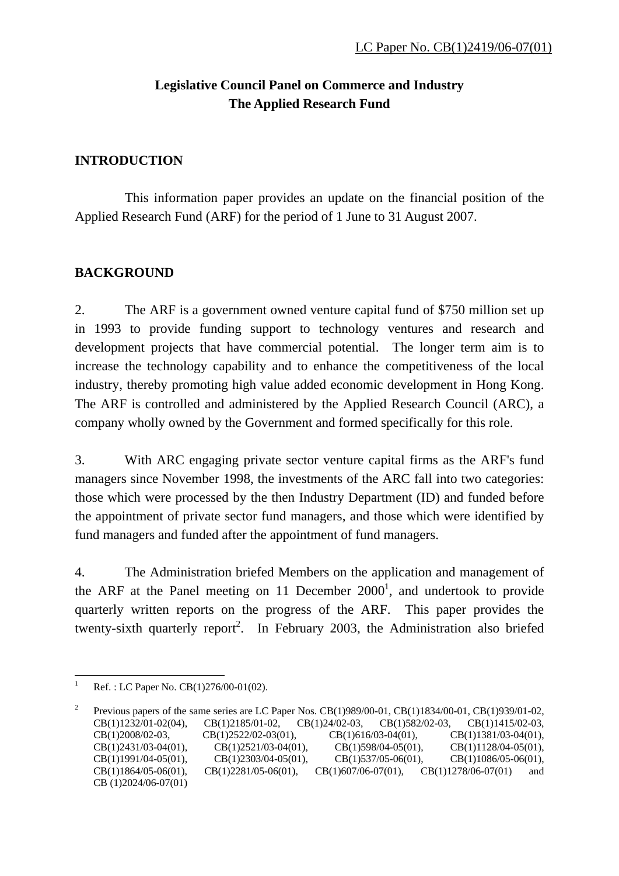# **Legislative Council Panel on Commerce and Industry The Applied Research Fund**

### **INTRODUCTION**

 This information paper provides an update on the financial position of the Applied Research Fund (ARF) for the period of 1 June to 31 August 2007.

## **BACKGROUND**

2. The ARF is a government owned venture capital fund of \$750 million set up in 1993 to provide funding support to technology ventures and research and development projects that have commercial potential. The longer term aim is to increase the technology capability and to enhance the competitiveness of the local industry, thereby promoting high value added economic development in Hong Kong. The ARF is controlled and administered by the Applied Research Council (ARC), a company wholly owned by the Government and formed specifically for this role.

3. With ARC engaging private sector venture capital firms as the ARF's fund managers since November 1998, the investments of the ARC fall into two categories: those which were processed by the then Industry Department (ID) and funded before the appointment of private sector fund managers, and those which were identified by fund managers and funded after the appointment of fund managers.

4. The Administration briefed Members on the application and management of the ARF at the Panel meeting on 11 December  $2000<sup>1</sup>$ , and undertook to provide quarterly written reports on the progress of the ARF. This paper provides the twenty-sixth quarterly report<sup>2</sup>. In February 2003, the Administration also briefed

<sup>1</sup> 1 Ref. : LC Paper No. CB(1)276/00-01(02).

<sup>2</sup> Previous papers of the same series are LC Paper Nos. CB(1)989/00-01, CB(1)1834/00-01, CB(1)939/01-02, CB(1)1232/01-02(04), CB(1)2185/01-02, CB(1)24/02-03, CB(1)582/02-03, CB(1)1415/02-03, CB(1)2008/02-03, CB(1)2522/02-03(01), CB(1)616/03-04(01), CB(1)1381/03-04(01), CB(1)2431/03-04(01), CB(1)2521/03-04(01), CB(1)598/04-05(01), CB(1)1128/04-05(01), CB(1)1991/04-05(01), CB(1)2303/04-05(01), CB(1)537/05-06(01), CB(1)1086/05-06(01), CB(1)1864/05-06(01), CB(1)2281/05-06(01), CB(1)607/06-07(01), CB(1)1278/06-07(01) and CB (1)2024/06-07(01)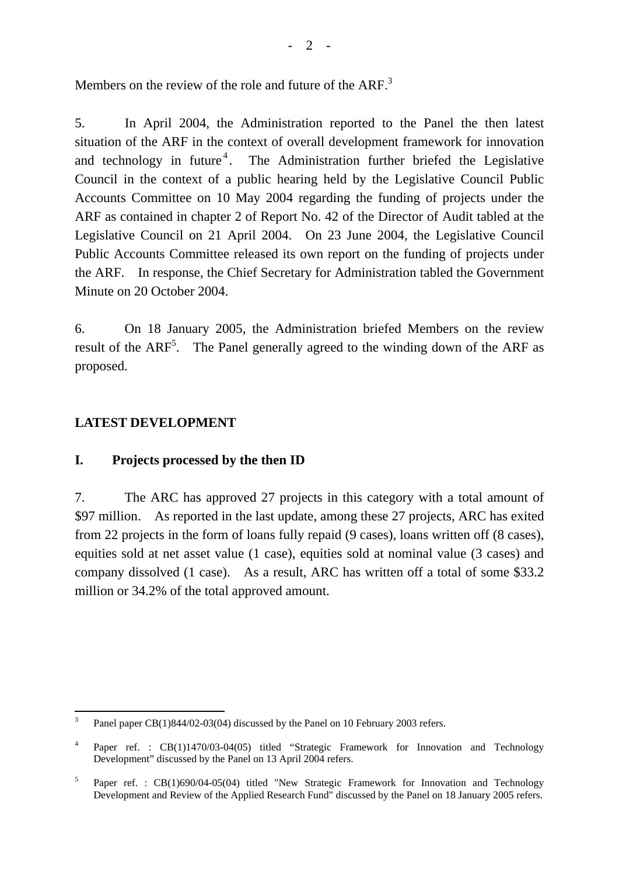Members on the review of the role and future of the  $ARF<sup>3</sup>$ 

5. In April 2004, the Administration reported to the Panel the then latest situation of the ARF in the context of overall development framework for innovation and technology in future<sup>4</sup>. The Administration further briefed the Legislative Council in the context of a public hearing held by the Legislative Council Public Accounts Committee on 10 May 2004 regarding the funding of projects under the ARF as contained in chapter 2 of Report No. 42 of the Director of Audit tabled at the Legislative Council on 21 April 2004. On 23 June 2004, the Legislative Council Public Accounts Committee released its own report on the funding of projects under the ARF. In response, the Chief Secretary for Administration tabled the Government Minute on 20 October 2004.

6. On 18 January 2005, the Administration briefed Members on the review result of the  $ARF<sup>5</sup>$ . The Panel generally agreed to the winding down of the ARF as proposed.

## **LATEST DEVELOPMENT**

## **I. Projects processed by the then ID**

7. The ARC has approved 27 projects in this category with a total amount of \$97 million. As reported in the last update, among these 27 projects, ARC has exited from 22 projects in the form of loans fully repaid (9 cases), loans written off (8 cases), equities sold at net asset value (1 case), equities sold at nominal value (3 cases) and company dissolved (1 case). As a result, ARC has written off a total of some \$33.2 million or 34.2% of the total approved amount.

 $\frac{1}{3}$ Panel paper CB(1)844/02-03(04) discussed by the Panel on 10 February 2003 refers.

<sup>4</sup> Paper ref. : CB(1)1470/03-04(05) titled "Strategic Framework for Innovation and Technology Development" discussed by the Panel on 13 April 2004 refers.

<sup>5</sup> Paper ref. : CB(1)690/04-05(04) titled "New Strategic Framework for Innovation and Technology Development and Review of the Applied Research Fund" discussed by the Panel on 18 January 2005 refers.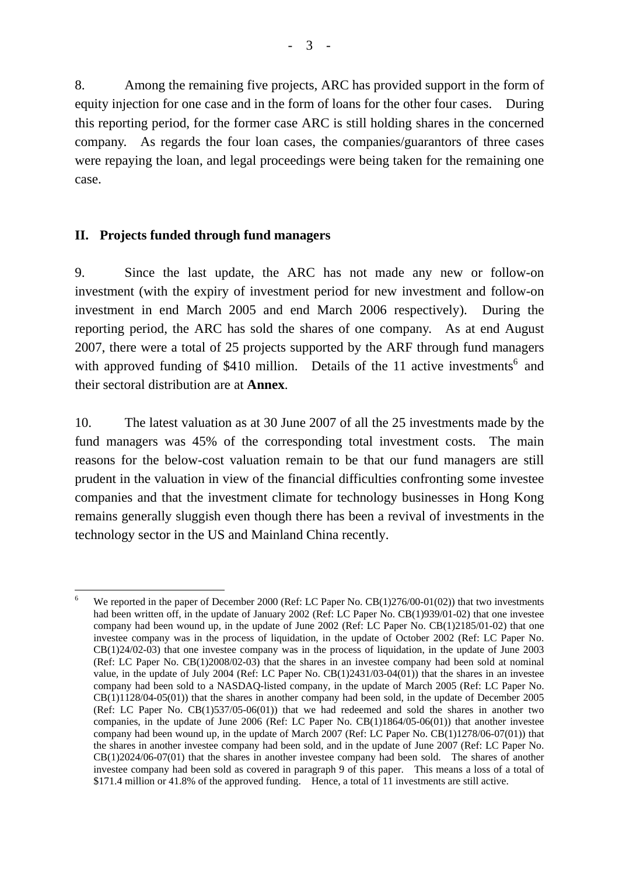8. Among the remaining five projects, ARC has provided support in the form of equity injection for one case and in the form of loans for the other four cases. During this reporting period, for the former case ARC is still holding shares in the concerned company. As regards the four loan cases, the companies/guarantors of three cases were repaying the loan, and legal proceedings were being taken for the remaining one case.

#### **II. Projects funded through fund managers**

9. Since the last update, the ARC has not made any new or follow-on investment (with the expiry of investment period for new investment and follow-on investment in end March 2005 and end March 2006 respectively). During the reporting period, the ARC has sold the shares of one company. As at end August 2007, there were a total of 25 projects supported by the ARF through fund managers with approved funding of  $$410$  million. Details of the 11 active investments<sup>6</sup> and their sectoral distribution are at **Annex**.

10. The latest valuation as at 30 June 2007 of all the 25 investments made by the fund managers was 45% of the corresponding total investment costs. The main reasons for the below-cost valuation remain to be that our fund managers are still prudent in the valuation in view of the financial difficulties confronting some investee companies and that the investment climate for technology businesses in Hong Kong remains generally sluggish even though there has been a revival of investments in the technology sector in the US and Mainland China recently.

<sup>&</sup>lt;u>.</u> 6 We reported in the paper of December 2000 (Ref: LC Paper No. CB(1)276/00-01(02)) that two investments had been written off, in the update of January 2002 (Ref: LC Paper No. CB(1)939/01-02) that one investee company had been wound up, in the update of June 2002 (Ref: LC Paper No. CB(1)2185/01-02) that one investee company was in the process of liquidation, in the update of October 2002 (Ref: LC Paper No. CB(1)24/02-03) that one investee company was in the process of liquidation, in the update of June 2003 (Ref: LC Paper No. CB(1)2008/02-03) that the shares in an investee company had been sold at nominal value, in the update of July 2004 (Ref: LC Paper No. CB(1)2431/03-04(01)) that the shares in an investee company had been sold to a NASDAQ-listed company, in the update of March 2005 (Ref: LC Paper No. CB(1)1128/04-05(01)) that the shares in another company had been sold, in the update of December 2005 (Ref: LC Paper No. CB(1)537/05-06(01)) that we had redeemed and sold the shares in another two companies, in the update of June 2006 (Ref: LC Paper No. CB(1)1864/05-06(01)) that another investee company had been wound up*,* in the update of March 2007 (Ref: LC Paper No. CB(1)1278/06-07(01)) that the shares in another investee company had been sold*,* and in the update of June 2007 (Ref: LC Paper No. CB(1)2024/06-07(01) that the shares in another investee company had been sold. The shares of another investee company had been sold as covered in paragraph 9 of this paper. This means a loss of a total of \$171.4 million or 41.8% of the approved funding. Hence, a total of 11 investments are still active.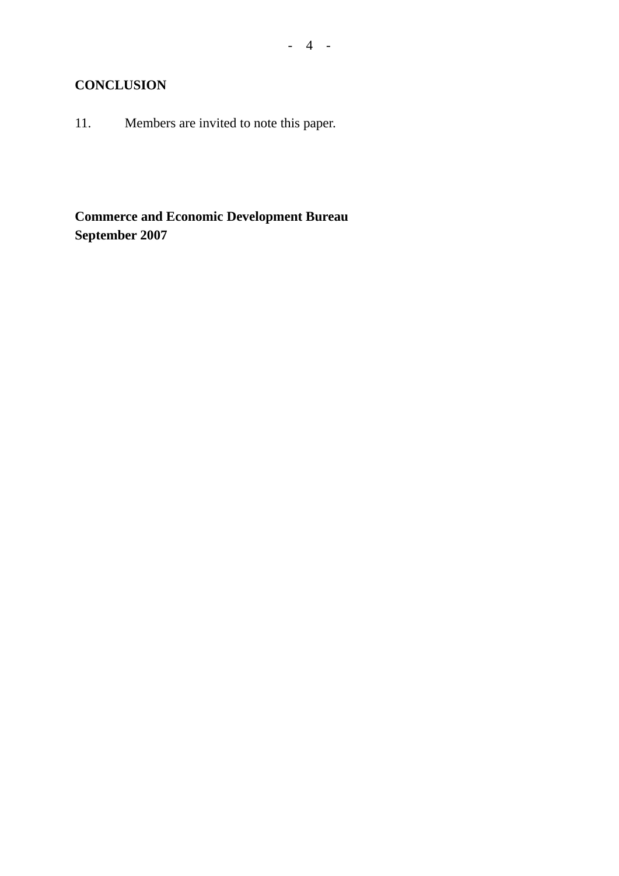## **CONCLUSION**

11. Members are invited to note this paper.

**Commerce and Economic Development Bureau September 2007**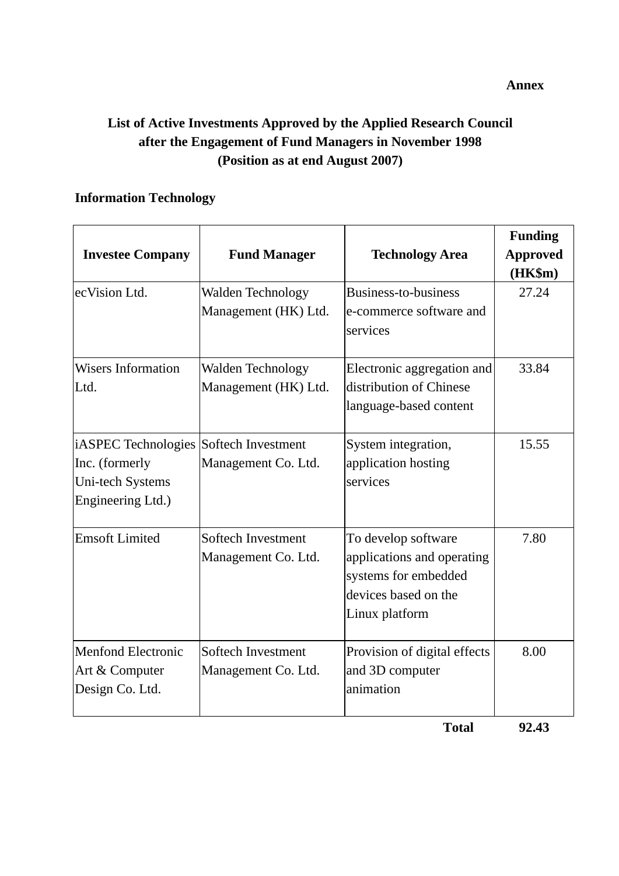# **List of Active Investments Approved by the Applied Research Council after the Engagement of Fund Managers in November 1998 (Position as at end August 2007)**

### **Information Technology**

| <b>Investee Company</b>                                                                           | <b>Fund Manager</b>                              | <b>Technology Area</b>                                                                                              | <b>Funding</b><br><b>Approved</b><br>(HK\$m) |
|---------------------------------------------------------------------------------------------------|--------------------------------------------------|---------------------------------------------------------------------------------------------------------------------|----------------------------------------------|
| ecVision Ltd.                                                                                     | <b>Walden Technology</b><br>Management (HK) Ltd. | Business-to-business<br>e-commerce software and<br>services                                                         | 27.24                                        |
| <b>Wisers Information</b><br>Ltd.                                                                 | Walden Technology<br>Management (HK) Ltd.        | Electronic aggregation and<br>distribution of Chinese<br>language-based content                                     | 33.84                                        |
| iASPEC Technologies Softech Investment<br>Inc. (formerly<br>Uni-tech Systems<br>Engineering Ltd.) | Management Co. Ltd.                              | System integration,<br>application hosting<br>services                                                              | 15.55                                        |
| <b>Emsoft Limited</b>                                                                             | Softech Investment<br>Management Co. Ltd.        | To develop software<br>applications and operating<br>systems for embedded<br>devices based on the<br>Linux platform | 7.80                                         |
| <b>Menfond Electronic</b><br>Art & Computer<br>Design Co. Ltd.                                    | Softech Investment<br>Management Co. Ltd.        | Provision of digital effects<br>and 3D computer<br>animation                                                        | 8.00                                         |

 **Total 92.43**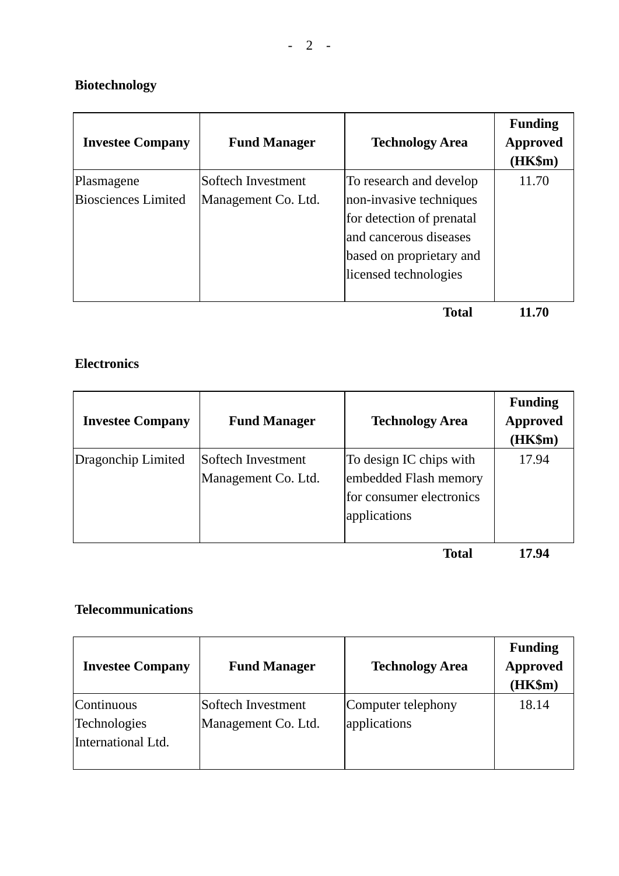# **Biotechnology**

| <b>Investee Company</b>                  | <b>Fund Manager</b>                       | <b>Technology Area</b>                                                                                   | <b>Funding</b><br><b>Approved</b><br>$(HK\$ m $)$ |
|------------------------------------------|-------------------------------------------|----------------------------------------------------------------------------------------------------------|---------------------------------------------------|
| Plasmagene<br><b>Biosciences Limited</b> | Softech Investment<br>Management Co. Ltd. | To research and develop<br>non-invasive techniques                                                       | 11.70                                             |
|                                          |                                           | for detection of prenatal<br>and cancerous diseases<br>based on proprietary and<br>licensed technologies |                                                   |
|                                          |                                           | Total                                                                                                    | 11.70                                             |

# **Electronics**

| <b>Investee Company</b> | <b>Fund Manager</b>                       | <b>Technology Area</b>                                                                       | <b>Funding</b><br><b>Approved</b><br>(HK\$m) |
|-------------------------|-------------------------------------------|----------------------------------------------------------------------------------------------|----------------------------------------------|
| Dragonchip Limited      | Softech Investment<br>Management Co. Ltd. | To design IC chips with<br>embedded Flash memory<br>for consumer electronics<br>applications | 17.94                                        |
|                         |                                           | $T_{\rm{2}}$ $\sim$ 1                                                                        | 1 <i>m</i> a <i>l</i>                        |

**Total 17.94** 

### **Telecommunications**

| <b>Investee Company</b>                          | <b>Fund Manager</b>                       | <b>Technology Area</b>             | <b>Funding</b><br><b>Approved</b><br>(HK\$m) |
|--------------------------------------------------|-------------------------------------------|------------------------------------|----------------------------------------------|
| Continuous<br>Technologies<br>International Ltd. | Softech Investment<br>Management Co. Ltd. | Computer telephony<br>applications | 18.14                                        |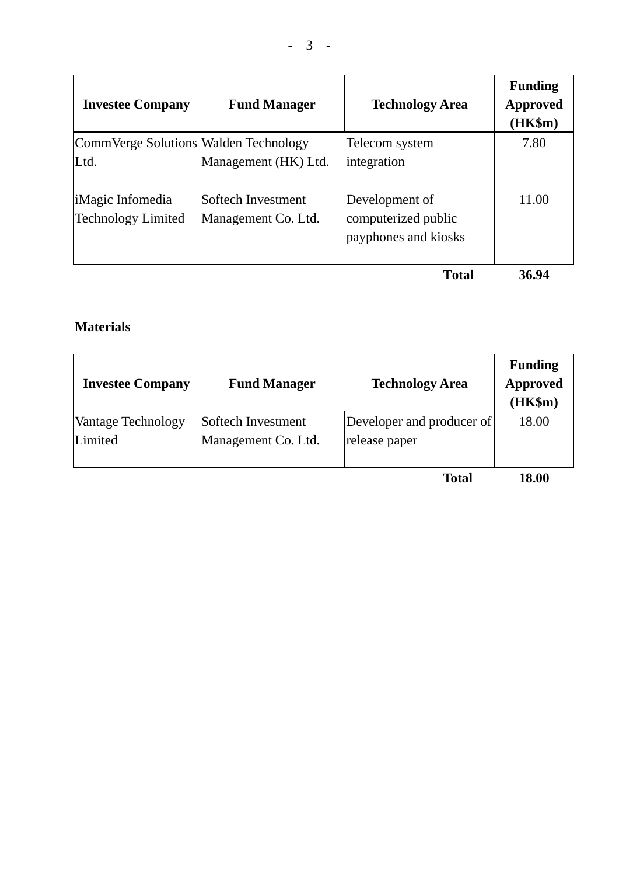| <b>Investee Company</b>               | <b>Fund Manager</b>  | <b>Technology Area</b> | <b>Funding</b><br><b>Approved</b><br>$(HK\$ m $)$ |
|---------------------------------------|----------------------|------------------------|---------------------------------------------------|
| CommVerge Solutions Walden Technology |                      | Telecom system         | 7.80                                              |
| Ltd.                                  | Management (HK) Ltd. | integration            |                                                   |
| iMagic Infomedia                      | Softech Investment   | Development of         | 11.00                                             |
| <b>Technology Limited</b>             | Management Co. Ltd.  | computerized public    |                                                   |
|                                       |                      | payphones and kiosks   |                                                   |
|                                       |                      | <b>Total</b>           | 36.94                                             |

## **Materials**

| <b>Investee Company</b> | <b>Fund Manager</b> | <b>Technology Area</b>    | <b>Funding</b><br><b>Approved</b><br>(HK\$m) |
|-------------------------|---------------------|---------------------------|----------------------------------------------|
| Vantage Technology      | Softech Investment  | Developer and producer of | 18.00                                        |
| Limited                 | Management Co. Ltd. | release paper             |                                              |

**Total 18.00**